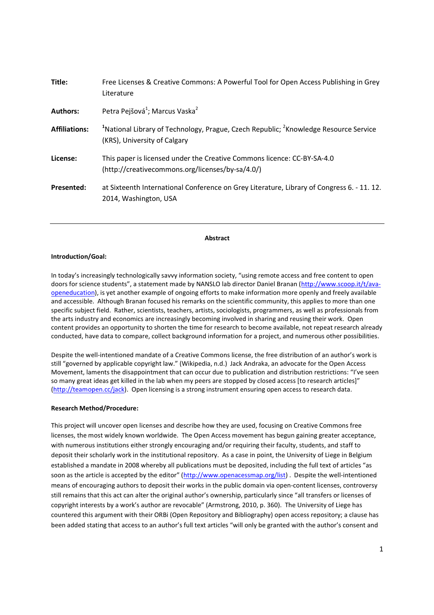| Title:               | Free Licenses & Creative Commons: A Powerful Tool for Open Access Publishing in Grey<br>Literature                                           |
|----------------------|----------------------------------------------------------------------------------------------------------------------------------------------|
| <b>Authors:</b>      | Petra Pejšová <sup>1</sup> ; Marcus Vaska <sup>2</sup>                                                                                       |
| <b>Affiliations:</b> | <sup>1</sup> National Library of Technology, Prague, Czech Republic; <sup>2</sup> Knowledge Resource Service<br>(KRS), University of Calgary |
| License:             | This paper is licensed under the Creative Commons licence: CC-BY-SA-4.0<br>(http://creativecommons.org/licenses/by-sa/4.0/)                  |
| <b>Presented:</b>    | at Sixteenth International Conference on Grey Literature, Library of Congress 6. - 11. 12.<br>2014, Washington, USA                          |

## **Abstract**

### **Introduction/Goal:**

In today's increasingly technologically savvy information society, "using remote access and free content to open doors for science students", a statement made by NANSLO lab director Daniel Branan (http://www.scoop.it/t/avaopeneducation), is yet another example of ongoing efforts to make information more openly and freely available and accessible. Although Branan focused his remarks on the scientific community, this applies to more than one specific subject field. Rather, scientists, teachers, artists, sociologists, programmers, as well as professionals from the arts industry and economics are increasingly becoming involved in sharing and reusing their work. Open content provides an opportunity to shorten the time for research to become available, not repeat research already conducted, have data to compare, collect background information for a project, and numerous other possibilities.

Despite the well-intentioned mandate of a Creative Commons license, the free distribution of an author's work is still "governed by applicable copyright law." (Wikipedia, n.d.) Jack Andraka, an advocate for the Open Access Movement, laments the disappointment that can occur due to publication and distribution restrictions: "I've seen so many great ideas get killed in the lab when my peers are stopped by closed access [to research articles]" (http://teamopen.cc/jack). Open licensing is a strong instrument ensuring open access to research data.

### **Research Method/Procedure:**

This project will uncover open licenses and describe how they are used, focusing on Creative Commons free licenses, the most widely known worldwide. The Open Access movement has begun gaining greater acceptance, with numerous institutions either strongly encouraging and/or requiring their faculty, students, and staff to deposit their scholarly work in the institutional repository. As a case in point, the University of Liege in Belgium established a mandate in 2008 whereby all publications must be deposited, including the full text of articles "as soon as the article is accepted by the editor" (http://www.openacessmap.org/list) . Despite the well-intentioned means of encouraging authors to deposit their works in the public domain via open-content licenses, controversy still remains that this act can alter the original author's ownership, particularly since "all transfers or licenses of copyright interests by a work's author are revocable" (Armstrong, 2010, p. 360). The University of Liege has countered this argument with their ORBi (Open Repository and Bibliography) open access repository; a clause has been added stating that access to an author's full text articles "will only be granted with the author's consent and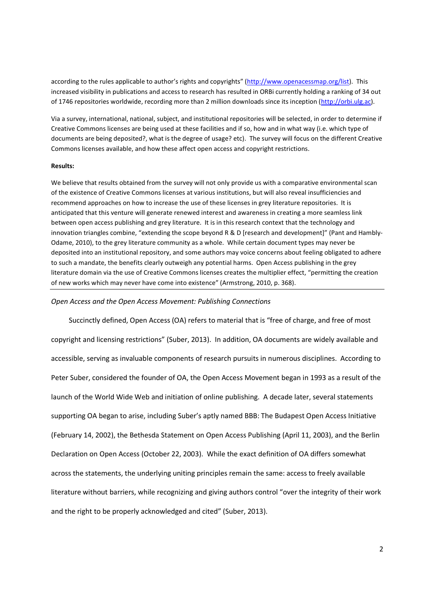according to the rules applicable to author's rights and copyrights" (http://www.openacessmap.org/list). This increased visibility in publications and access to research has resulted in ORBi currently holding a ranking of 34 out of 1746 repositories worldwide, recording more than 2 million downloads since its inception (http://orbi.ulg.ac).

Via a survey, international, national, subject, and institutional repositories will be selected, in order to determine if Creative Commons licenses are being used at these facilities and if so, how and in what way (i.e. which type of documents are being deposited?, what is the degree of usage? etc). The survey will focus on the different Creative Commons licenses available, and how these affect open access and copyright restrictions.

#### **Results:**

We believe that results obtained from the survey will not only provide us with a comparative environmental scan of the existence of Creative Commons licenses at various institutions, but will also reveal insufficiencies and recommend approaches on how to increase the use of these licenses in grey literature repositories. It is anticipated that this venture will generate renewed interest and awareness in creating a more seamless link between open access publishing and grey literature. It is in this research context that the technology and innovation triangles combine, "extending the scope beyond R & D [research and development]" (Pant and Hambly-Odame, 2010), to the grey literature community as a whole. While certain document types may never be deposited into an institutional repository, and some authors may voice concerns about feeling obligated to adhere to such a mandate, the benefits clearly outweigh any potential harms. Open Access publishing in the grey literature domain via the use of Creative Commons licenses creates the multiplier effect, "permitting the creation of new works which may never have come into existence" (Armstrong, 2010, p. 368).

# *Open Access and the Open Access Movement: Publishing Connections*

 Succinctly defined, Open Access (OA) refers to material that is "free of charge, and free of most copyright and licensing restrictions" (Suber, 2013). In addition, OA documents are widely available and accessible, serving as invaluable components of research pursuits in numerous disciplines. According to Peter Suber, considered the founder of OA, the Open Access Movement began in 1993 as a result of the launch of the World Wide Web and initiation of online publishing. A decade later, several statements supporting OA began to arise, including Suber's aptly named BBB: The Budapest Open Access Initiative (February 14, 2002), the Bethesda Statement on Open Access Publishing (April 11, 2003), and the Berlin Declaration on Open Access (October 22, 2003). While the exact definition of OA differs somewhat across the statements, the underlying uniting principles remain the same: access to freely available literature without barriers, while recognizing and giving authors control "over the integrity of their work and the right to be properly acknowledged and cited" (Suber, 2013).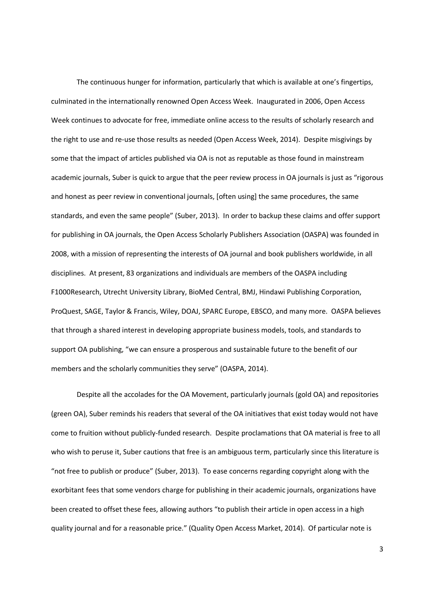The continuous hunger for information, particularly that which is available at one's fingertips, culminated in the internationally renowned Open Access Week. Inaugurated in 2006, Open Access Week continues to advocate for free, immediate online access to the results of scholarly research and the right to use and re-use those results as needed (Open Access Week, 2014). Despite misgivings by some that the impact of articles published via OA is not as reputable as those found in mainstream academic journals, Suber is quick to argue that the peer review process in OA journals is just as "rigorous and honest as peer review in conventional journals, [often using] the same procedures, the same standards, and even the same people" (Suber, 2013). In order to backup these claims and offer support for publishing in OA journals, the Open Access Scholarly Publishers Association (OASPA) was founded in 2008, with a mission of representing the interests of OA journal and book publishers worldwide, in all disciplines. At present, 83 organizations and individuals are members of the OASPA including F1000Research, Utrecht University Library, BioMed Central, BMJ, Hindawi Publishing Corporation, ProQuest, SAGE, Taylor & Francis, Wiley, DOAJ, SPARC Europe, EBSCO, and many more. OASPA believes that through a shared interest in developing appropriate business models, tools, and standards to support OA publishing, "we can ensure a prosperous and sustainable future to the benefit of our members and the scholarly communities they serve" (OASPA, 2014).

Despite all the accolades for the OA Movement, particularly journals (gold OA) and repositories (green OA), Suber reminds his readers that several of the OA initiatives that exist today would not have come to fruition without publicly-funded research. Despite proclamations that OA material is free to all who wish to peruse it, Suber cautions that free is an ambiguous term, particularly since this literature is "not free to publish or produce" (Suber, 2013). To ease concerns regarding copyright along with the exorbitant fees that some vendors charge for publishing in their academic journals, organizations have been created to offset these fees, allowing authors "to publish their article in open access in a high quality journal and for a reasonable price." (Quality Open Access Market, 2014). Of particular note is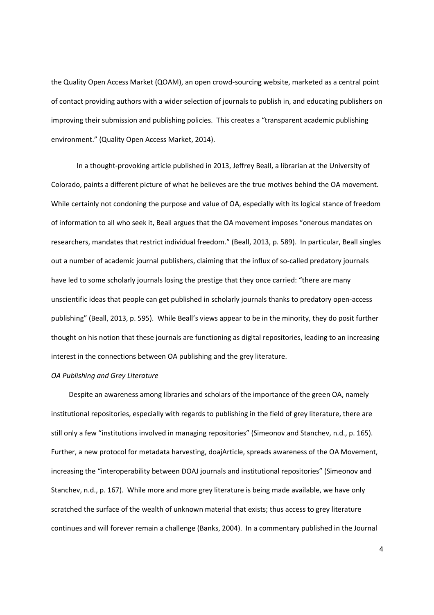the Quality Open Access Market (QOAM), an open crowd-sourcing website, marketed as a central point of contact providing authors with a wider selection of journals to publish in, and educating publishers on improving their submission and publishing policies. This creates a "transparent academic publishing environment." (Quality Open Access Market, 2014).

In a thought-provoking article published in 2013, Jeffrey Beall, a librarian at the University of Colorado, paints a different picture of what he believes are the true motives behind the OA movement. While certainly not condoning the purpose and value of OA, especially with its logical stance of freedom of information to all who seek it, Beall argues that the OA movement imposes "onerous mandates on researchers, mandates that restrict individual freedom." (Beall, 2013, p. 589). In particular, Beall singles out a number of academic journal publishers, claiming that the influx of so-called predatory journals have led to some scholarly journals losing the prestige that they once carried: "there are many unscientific ideas that people can get published in scholarly journals thanks to predatory open-access publishing" (Beall, 2013, p. 595). While Beall's views appear to be in the minority, they do posit further thought on his notion that these journals are functioning as digital repositories, leading to an increasing interest in the connections between OA publishing and the grey literature.

#### *OA Publishing and Grey Literature*

Despite an awareness among libraries and scholars of the importance of the green OA, namely institutional repositories, especially with regards to publishing in the field of grey literature, there are still only a few "institutions involved in managing repositories" (Simeonov and Stanchev, n.d., p. 165). Further, a new protocol for metadata harvesting, doajArticle, spreads awareness of the OA Movement, increasing the "interoperability between DOAJ journals and institutional repositories" (Simeonov and Stanchev, n.d., p. 167). While more and more grey literature is being made available, we have only scratched the surface of the wealth of unknown material that exists; thus access to grey literature continues and will forever remain a challenge (Banks, 2004). In a commentary published in the Journal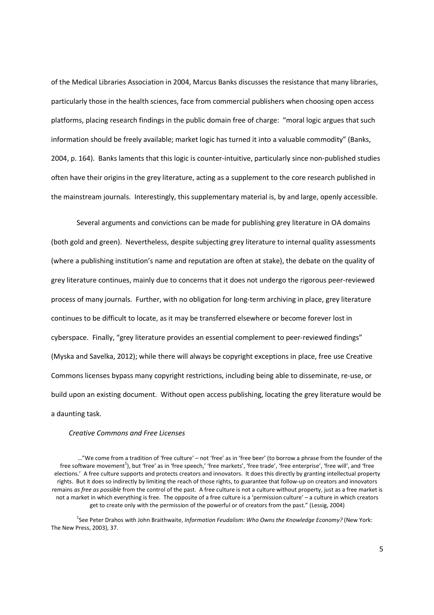of the Medical Libraries Association in 2004, Marcus Banks discusses the resistance that many libraries, particularly those in the health sciences, face from commercial publishers when choosing open access platforms, placing research findings in the public domain free of charge: "moral logic argues that such information should be freely available; market logic has turned it into a valuable commodity" (Banks, 2004, p. 164). Banks laments that this logic is counter-intuitive, particularly since non-published studies often have their origins in the grey literature, acting as a supplement to the core research published in the mainstream journals. Interestingly, this supplementary material is, by and large, openly accessible.

Several arguments and convictions can be made for publishing grey literature in OA domains (both gold and green). Nevertheless, despite subjecting grey literature to internal quality assessments (where a publishing institution's name and reputation are often at stake), the debate on the quality of grey literature continues, mainly due to concerns that it does not undergo the rigorous peer-reviewed process of many journals. Further, with no obligation for long-term archiving in place, grey literature continues to be difficult to locate, as it may be transferred elsewhere or become forever lost in cyberspace. Finally, "grey literature provides an essential complement to peer-reviewed findings" (Myska and Savelka, 2012); while there will always be copyright exceptions in place, free use Creative Commons licenses bypass many copyright restrictions, including being able to disseminate, re-use, or build upon an existing document. Without open access publishing, locating the grey literature would be a daunting task.

# *Creative Commons and Free Licenses*

<sup>1</sup>See Peter Drahos with John Braithwaite, *Information Feudalism: Who Owns the Knowledge Economy?* (New York: The New Press, 2003), 37.

<sup>…&</sup>quot;We come from a tradition of 'free culture' – not 'free' as in 'free beer' (to borrow a phrase from the founder of the free software movement<sup>1</sup>), but 'free' as in 'free speech,' 'free markets', 'free trade', 'free enterprise', 'free will', and 'free elections.' A free culture supports and protects creators and innovators. It does this directly by granting intellectual property rights. But it does so indirectly by limiting the reach of those rights, to guarantee that follow-up on creators and innovators remains *as free as possible* from the control of the past. A free culture is not a culture without property, just as a free market is not a market in which everything is free. The opposite of a free culture is a 'permission culture' – a culture in which creators get to create only with the permission of the powerful or of creators from the past." (Lessig, 2004)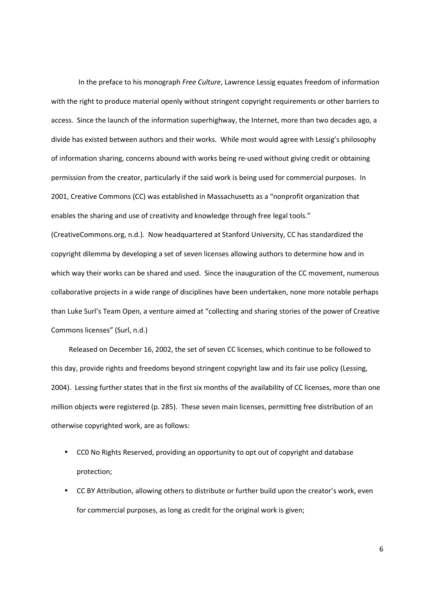In the preface to his monograph *Free Culture*, Lawrence Lessig equates freedom of information with the right to produce material openly without stringent copyright requirements or other barriers to access. Since the launch of the information superhighway, the Internet, more than two decades ago, a divide has existed between authors and their works. While most would agree with Lessig's philosophy of information sharing, concerns abound with works being re-used without giving credit or obtaining permission from the creator, particularly if the said work is being used for commercial purposes. In 2001, Creative Commons (CC) was established in Massachusetts as a "nonprofit organization that enables the sharing and use of creativity and knowledge through free legal tools."

(CreativeCommons.org, n.d.). Now headquartered at Stanford University, CC has standardized the copyright dilemma by developing a set of seven licenses allowing authors to determine how and in which way their works can be shared and used. Since the inauguration of the CC movement, numerous collaborative projects in a wide range of disciplines have been undertaken, none more notable perhaps than Luke Surl's Team Open, a venture aimed at "collecting and sharing stories of the power of Creative Commons licenses" (Surl, n.d.)

 Released on December 16, 2002, the set of seven CC licenses, which continue to be followed to this day, provide rights and freedoms beyond stringent copyright law and its fair use policy (Lessing, 2004). Lessing further states that in the first six months of the availability of CC licenses, more than one million objects were registered (p. 285). These seven main licenses, permitting free distribution of an otherwise copyrighted work, are as follows:

- CC0 No Rights Reserved, providing an opportunity to opt out of copyright and database protection;
- CC BY Attribution, allowing others to distribute or further build upon the creator's work, even for commercial purposes, as long as credit for the original work is given;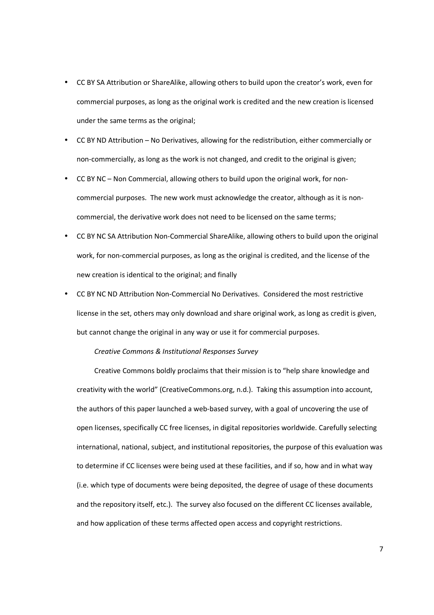- CC BY SA Attribution or ShareAlike, allowing others to build upon the creator's work, even for commercial purposes, as long as the original work is credited and the new creation is licensed under the same terms as the original;
- CC BY ND Attribution No Derivatives, allowing for the redistribution, either commercially or non-commercially, as long as the work is not changed, and credit to the original is given;
- CC BY NC Non Commercial, allowing others to build upon the original work, for noncommercial purposes. The new work must acknowledge the creator, although as it is noncommercial, the derivative work does not need to be licensed on the same terms;
- CC BY NC SA Attribution Non-Commercial ShareAlike, allowing others to build upon the original work, for non-commercial purposes, as long as the original is credited, and the license of the new creation is identical to the original; and finally
- CC BY NC ND Attribution Non-Commercial No Derivatives. Considered the most restrictive license in the set, others may only download and share original work, as long as credit is given, but cannot change the original in any way or use it for commercial purposes.

*Creative Commons & Institutional Responses Survey* 

Creative Commons boldly proclaims that their mission is to "help share knowledge and creativity with the world" (CreativeCommons.org, n.d.). Taking this assumption into account, the authors of this paper launched a web-based survey, with a goal of uncovering the use of open licenses, specifically CC free licenses, in digital repositories worldwide. Carefully selecting international, national, subject, and institutional repositories, the purpose of this evaluation was to determine if CC licenses were being used at these facilities, and if so, how and in what way (i.e. which type of documents were being deposited, the degree of usage of these documents and the repository itself, etc.). The survey also focused on the different CC licenses available, and how application of these terms affected open access and copyright restrictions.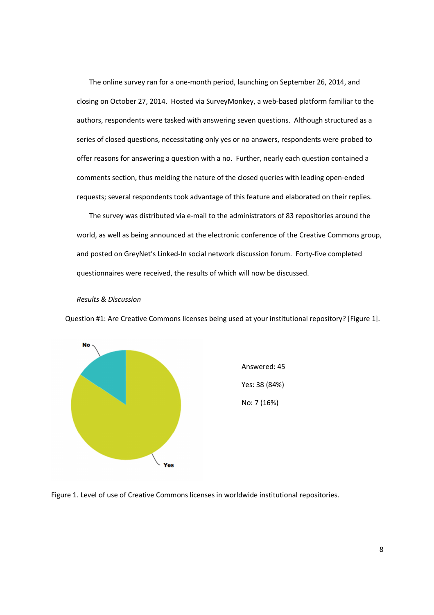The online survey ran for a one-month period, launching on September 26, 2014, and closing on October 27, 2014. Hosted via SurveyMonkey, a web-based platform familiar to the authors, respondents were tasked with answering seven questions. Although structured as a series of closed questions, necessitating only yes or no answers, respondents were probed to offer reasons for answering a question with a no. Further, nearly each question contained a comments section, thus melding the nature of the closed queries with leading open-ended requests; several respondents took advantage of this feature and elaborated on their replies.

 The survey was distributed via e-mail to the administrators of 83 repositories around the world, as well as being announced at the electronic conference of the Creative Commons group, and posted on GreyNet's Linked-In social network discussion forum. Forty-five completed questionnaires were received, the results of which will now be discussed.

# *Results & Discussion*

Question #1: Are Creative Commons licenses being used at your institutional repository? [Figure 1].



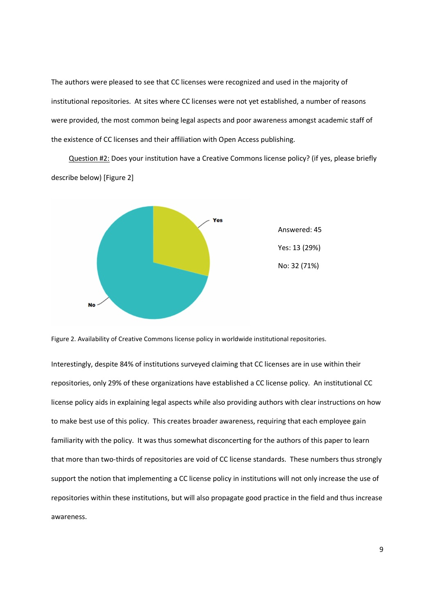The authors were pleased to see that CC licenses were recognized and used in the majority of institutional repositories. At sites where CC licenses were not yet established, a number of reasons were provided, the most common being legal aspects and poor awareness amongst academic staff of the existence of CC licenses and their affiliation with Open Access publishing.

 Question #2: Does your institution have a Creative Commons license policy? (if yes, please briefly describe below) [Figure 2]





Interestingly, despite 84% of institutions surveyed claiming that CC licenses are in use within their repositories, only 29% of these organizations have established a CC license policy. An institutional CC license policy aids in explaining legal aspects while also providing authors with clear instructions on how to make best use of this policy. This creates broader awareness, requiring that each employee gain familiarity with the policy. It was thus somewhat disconcerting for the authors of this paper to learn that more than two-thirds of repositories are void of CC license standards. These numbers thus strongly support the notion that implementing a CC license policy in institutions will not only increase the use of repositories within these institutions, but will also propagate good practice in the field and thus increase awareness.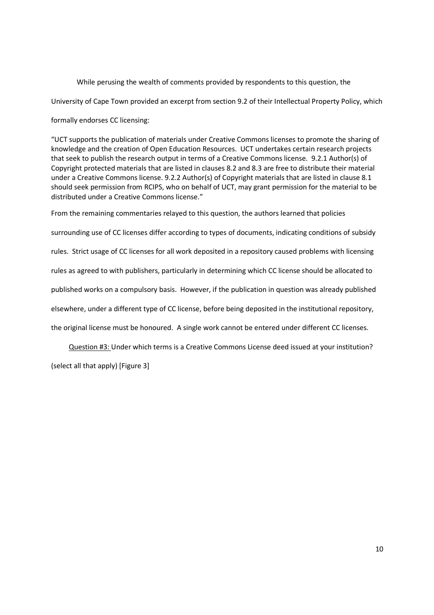While perusing the wealth of comments provided by respondents to this question, the

University of Cape Town provided an excerpt from section 9.2 of their Intellectual Property Policy, which

formally endorses CC licensing:

"UCT supports the publication of materials under Creative Commons licenses to promote the sharing of knowledge and the creation of Open Education Resources. UCT undertakes certain research projects that seek to publish the research output in terms of a Creative Commons license. 9.2.1 Author(s) of Copyright protected materials that are listed in clauses 8.2 and 8.3 are free to distribute their material under a Creative Commons license. 9.2.2 Author(s) of Copyright materials that are listed in clause 8.1 should seek permission from RCIPS, who on behalf of UCT, may grant permission for the material to be distributed under a Creative Commons license."

From the remaining commentaries relayed to this question, the authors learned that policies surrounding use of CC licenses differ according to types of documents, indicating conditions of subsidy rules. Strict usage of CC licenses for all work deposited in a repository caused problems with licensing rules as agreed to with publishers, particularly in determining which CC license should be allocated to published works on a compulsory basis. However, if the publication in question was already published elsewhere, under a different type of CC license, before being deposited in the institutional repository, the original license must be honoured. A single work cannot be entered under different CC licenses.

Question #3: Under which terms is a Creative Commons License deed issued at your institution?

(select all that apply) [Figure 3]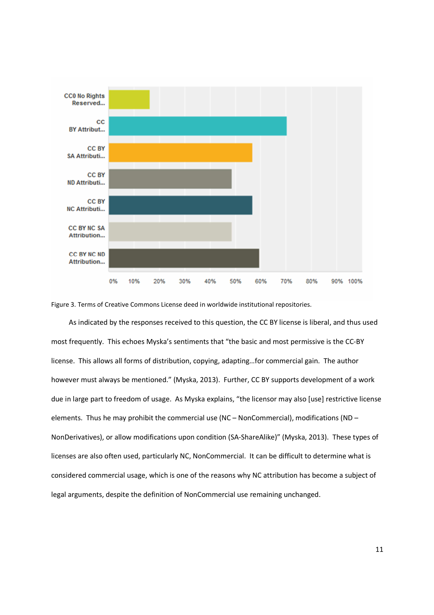

Figure 3. Terms of Creative Commons License deed in worldwide institutional repositories.

 As indicated by the responses received to this question, the CC BY license is liberal, and thus used most frequently. This echoes Myska's sentiments that "the basic and most permissive is the CC-BY license. This allows all forms of distribution, copying, adapting…for commercial gain. The author however must always be mentioned." (Myska, 2013). Further, CC BY supports development of a work due in large part to freedom of usage. As Myska explains, "the licensor may also [use] restrictive license elements. Thus he may prohibit the commercial use (NC – NonCommercial), modifications (ND – NonDerivatives), or allow modifications upon condition (SA-ShareAlike)" (Myska, 2013). These types of licenses are also often used, particularly NC, NonCommercial. It can be difficult to determine what is considered commercial usage, which is one of the reasons why NC attribution has become a subject of legal arguments, despite the definition of NonCommercial use remaining unchanged.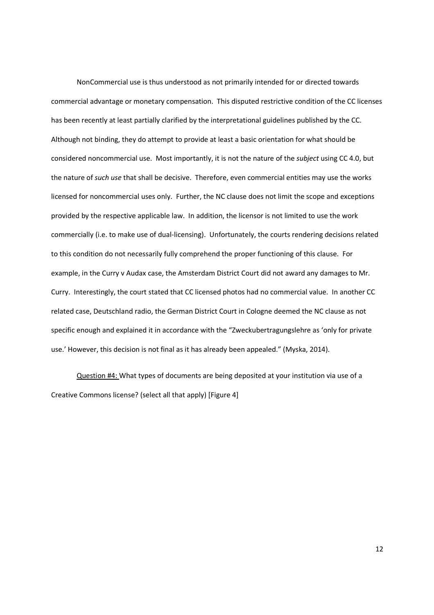NonCommercial use is thus understood as not primarily intended for or directed towards commercial advantage or monetary compensation. This disputed restrictive condition of the CC licenses has been recently at least partially clarified by the interpretational guidelines published by the CC. Although not binding, they do attempt to provide at least a basic orientation for what should be considered noncommercial use. Most importantly, it is not the nature of the *subject* using CC 4.0, but the nature of *such use* that shall be decisive. Therefore, even commercial entities may use the works licensed for noncommercial uses only. Further, the NC clause does not limit the scope and exceptions provided by the respective applicable law. In addition, the licensor is not limited to use the work commercially (i.e. to make use of dual-licensing). Unfortunately, the courts rendering decisions related to this condition do not necessarily fully comprehend the proper functioning of this clause. For example, in the Curry v Audax case, the Amsterdam District Court did not award any damages to Mr. Curry. Interestingly, the court stated that CC licensed photos had no commercial value. In another CC related case, Deutschland radio, the German District Court in Cologne deemed the NC clause as not specific enough and explained it in accordance with the "Zweckubertragungslehre as 'only for private use.' However, this decision is not final as it has already been appealed." (Myska, 2014).

 Question #4: What types of documents are being deposited at your institution via use of a Creative Commons license? (select all that apply) [Figure 4]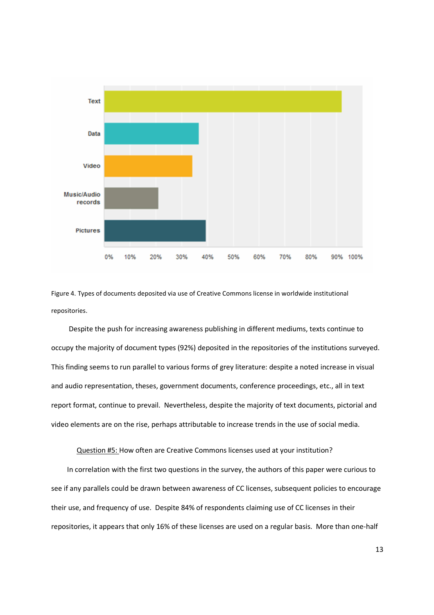

Figure 4. Types of documents deposited via use of Creative Commons license in worldwide institutional repositories.

Despite the push for increasing awareness publishing in different mediums, texts continue to occupy the majority of document types (92%) deposited in the repositories of the institutions surveyed. This finding seems to run parallel to various forms of grey literature: despite a noted increase in visual and audio representation, theses, government documents, conference proceedings, etc., all in text report format, continue to prevail. Nevertheless, despite the majority of text documents, pictorial and video elements are on the rise, perhaps attributable to increase trends in the use of social media.

Question #5: How often are Creative Commons licenses used at your institution?

In correlation with the first two questions in the survey, the authors of this paper were curious to see if any parallels could be drawn between awareness of CC licenses, subsequent policies to encourage their use, and frequency of use. Despite 84% of respondents claiming use of CC licenses in their repositories, it appears that only 16% of these licenses are used on a regular basis. More than one-half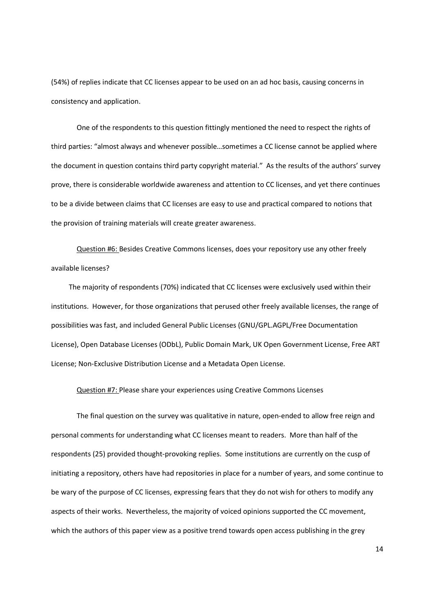(54%) of replies indicate that CC licenses appear to be used on an ad hoc basis, causing concerns in consistency and application.

One of the respondents to this question fittingly mentioned the need to respect the rights of third parties: "almost always and whenever possible…sometimes a CC license cannot be applied where the document in question contains third party copyright material." As the results of the authors' survey prove, there is considerable worldwide awareness and attention to CC licenses, and yet there continues to be a divide between claims that CC licenses are easy to use and practical compared to notions that the provision of training materials will create greater awareness.

Question #6: Besides Creative Commons licenses, does your repository use any other freely available licenses?

 The majority of respondents (70%) indicated that CC licenses were exclusively used within their institutions. However, for those organizations that perused other freely available licenses, the range of possibilities was fast, and included General Public Licenses (GNU/GPL.AGPL/Free Documentation License), Open Database Licenses (ODbL), Public Domain Mark, UK Open Government License, Free ART License; Non-Exclusive Distribution License and a Metadata Open License.

# Question #7: Please share your experiences using Creative Commons Licenses

The final question on the survey was qualitative in nature, open-ended to allow free reign and personal comments for understanding what CC licenses meant to readers. More than half of the respondents (25) provided thought-provoking replies. Some institutions are currently on the cusp of initiating a repository, others have had repositories in place for a number of years, and some continue to be wary of the purpose of CC licenses, expressing fears that they do not wish for others to modify any aspects of their works. Nevertheless, the majority of voiced opinions supported the CC movement, which the authors of this paper view as a positive trend towards open access publishing in the grey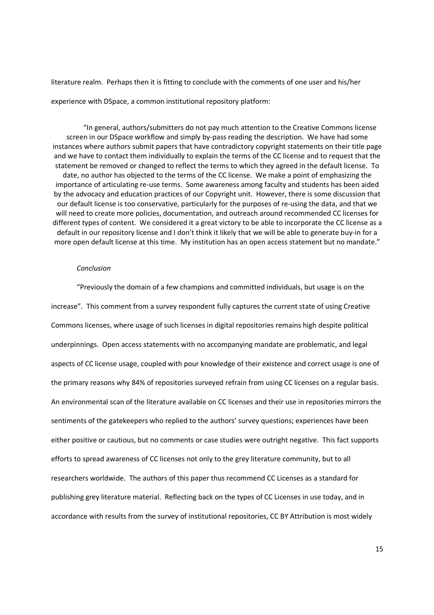literature realm. Perhaps then it is fitting to conclude with the comments of one user and his/her experience with DSpace, a common institutional repository platform:

"In general, authors/submitters do not pay much attention to the Creative Commons license screen in our DSpace workflow and simply by-pass reading the description. We have had some instances where authors submit papers that have contradictory copyright statements on their title page and we have to contact them individually to explain the terms of the CC license and to request that the statement be removed or changed to reflect the terms to which they agreed in the default license. To date, no author has objected to the terms of the CC license. We make a point of emphasizing the importance of articulating re-use terms. Some awareness among faculty and students has been aided by the advocacy and education practices of our Copyright unit. However, there is some discussion that our default license is too conservative, particularly for the purposes of re-using the data, and that we will need to create more policies, documentation, and outreach around recommended CC licenses for different types of content. We considered it a great victory to be able to incorporate the CC license as a default in our repository license and I don't think it likely that we will be able to generate buy-in for a more open default license at this time. My institution has an open access statement but no mandate."

# *Conclusion*

"Previously the domain of a few champions and committed individuals, but usage is on the increase". This comment from a survey respondent fully captures the current state of using Creative Commons licenses, where usage of such licenses in digital repositories remains high despite political underpinnings. Open access statements with no accompanying mandate are problematic, and legal aspects of CC license usage, coupled with pour knowledge of their existence and correct usage is one of the primary reasons why 84% of repositories surveyed refrain from using CC licenses on a regular basis. An environmental scan of the literature available on CC licenses and their use in repositories mirrors the sentiments of the gatekeepers who replied to the authors' survey questions; experiences have been either positive or cautious, but no comments or case studies were outright negative. This fact supports efforts to spread awareness of CC licenses not only to the grey literature community, but to all researchers worldwide. The authors of this paper thus recommend CC Licenses as a standard for publishing grey literature material. Reflecting back on the types of CC Licenses in use today, and in accordance with results from the survey of institutional repositories, CC BY Attribution is most widely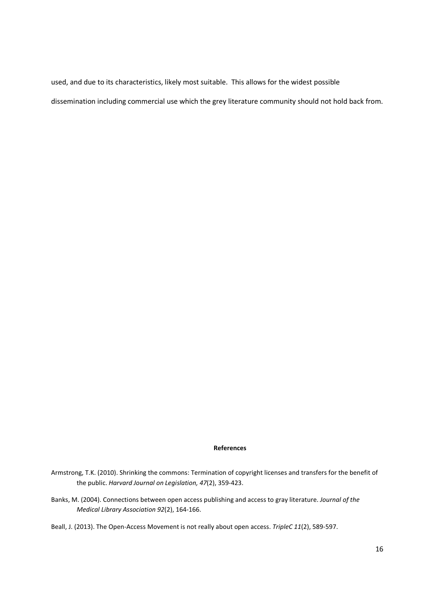used, and due to its characteristics, likely most suitable. This allows for the widest possible dissemination including commercial use which the grey literature community should not hold back from.

### **References**

- Armstrong, T.K. (2010). Shrinking the commons: Termination of copyright licenses and transfers for the benefit of the public. *Harvard Journal on Legislation, 47*(2), 359-423.
- Banks, M. (2004). Connections between open access publishing and access to gray literature. *Journal of the Medical Library Association 92*(2), 164-166.
- Beall, J. (2013). The Open-Access Movement is not really about open access. *TripleC 11*(2), 589-597.